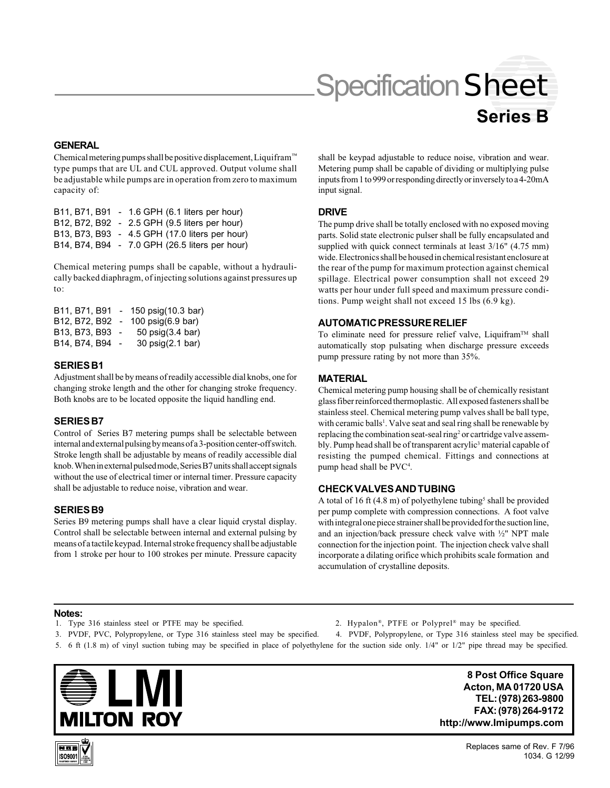# Specification Sheet

# **Series B**

#### **GENERAL**

Chemical metering pumps shall be positive displacement, Liquifram™ type pumps that are UL and CUL approved. Output volume shall be adjustable while pumps are in operation from zero to maximum capacity of:

|  | B11, B71, B91 - 1.6 GPH (6.1 liters per hour)  |
|--|------------------------------------------------|
|  | B12, B72, B92 - 2.5 GPH (9.5 liters per hour)  |
|  | B13, B73, B93 - 4.5 GPH (17.0 liters per hour) |
|  | B14, B74, B94 - 7.0 GPH (26.5 liters per hour) |
|  |                                                |

Chemical metering pumps shall be capable, without a hydraulically backed diaphragm, of injecting solutions against pressures up to:

| B11, B71, B91   | 150 psig(10.3 bar)            |
|-----------------|-------------------------------|
| B12, B72, B92   | 100 psig(6.9 bar)             |
| B13, B73, B93   | $50$ psig $(3.4 \text{ bar})$ |
| B14, B74, B94 - | 30 psig(2.1 bar)              |

#### **SERIES B1**

Adjustment shall be by means of readily accessible dial knobs, one for changing stroke length and the other for changing stroke frequency. Both knobs are to be located opposite the liquid handling end.

# **SERIES B7**

Control of Series B7 metering pumps shall be selectable between internal and external pulsing by means of a 3-position center-off switch. Stroke length shall be adjustable by means of readily accessible dial knob. When in external pulsed mode, Series B7 units shall accept signals without the use of electrical timer or internal timer. Pressure capacity shall be adjustable to reduce noise, vibration and wear.

#### **SERIES B9**

Series B9 metering pumps shall have a clear liquid crystal display. Control shall be selectable between internal and external pulsing by means of a tactile keypad. Internal stroke frequency shall be adjustable from 1 stroke per hour to 100 strokes per minute. Pressure capacity shall be keypad adjustable to reduce noise, vibration and wear. Metering pump shall be capable of dividing or multiplying pulse inputs from 1 to 999 or responding directly or inversely to a 4-20mA input signal.

#### **DRIVE**

The pump drive shall be totally enclosed with no exposed moving parts. Solid state electronic pulser shall be fully encapsulated and supplied with quick connect terminals at least  $3/16$ " (4.75 mm) wide. Electronics shall be housed in chemical resistant enclosure at the rear of the pump for maximum protection against chemical spillage. Electrical power consumption shall not exceed 29 watts per hour under full speed and maximum pressure conditions. Pump weight shall not exceed 15 lbs (6.9 kg).

# **AUTOMATIC PRESSURE RELIEF**

To eliminate need for pressure relief valve, Liquifram<sup>TM</sup> shall automatically stop pulsating when discharge pressure exceeds pump pressure rating by not more than 35%.

# **MATERIAL**

Chemical metering pump housing shall be of chemically resistant glass fiber reinforced thermoplastic. All exposed fasteners shall be stainless steel. Chemical metering pump valves shall be ball type, with ceramic balls<sup>1</sup>. Valve seat and seal ring shall be renewable by replacing the combination seat-seal ring<sup>2</sup> or cartridge valve assembly. Pump head shall be of transparent acrylic<sup>3</sup> material capable of resisting the pumped chemical. Fittings and connections at pump head shall be PVC<sup>4</sup>.

# **CHECK VALVES AND TUBING**

A total of 16 ft  $(4.8 \text{ m})$  of polyethylene tubing<sup>5</sup> shall be provided per pump complete with compression connections. A foot valve with integral one piece strainer shall be provided for the suction line, and an injection/back pressure check valve with ½" NPT male connection for the injection point. The injection check valve shall incorporate a dilating orifice which prohibits scale formation and accumulation of crystalline deposits.

#### **Notes:**

- 1. Type 316 stainless steel or PTFE may be specified. 2. Hypalon®, PTFE or Polyprel® may be specified.
- 3. PVDF, PVC, Polypropylene, or Type 316 stainless steel may be specified. 4. PVDF, Polypropylene, or Type 316 stainless steel may be specified.
- 5. 6 ft (1.8 m) of vinyl suction tubing may be specified in place of polyethylene for the suction side only. 1/4" or 1/2" pipe thread may be specified.



**8 Post Office Square Acton, MA 01720 USA TEL: (978) 263-9800 FAX: (978) 264-9172 http://www.Imipumps.com**